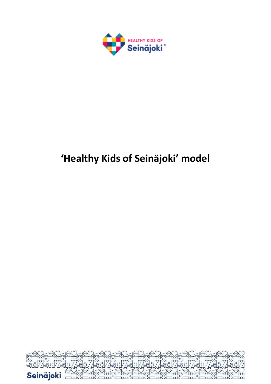

# **'Healthy Kids of Seinäjoki' model**

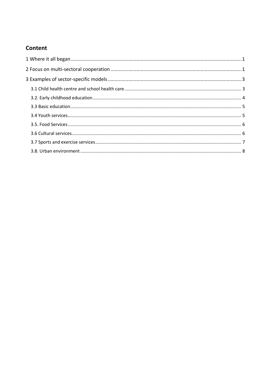# **Content**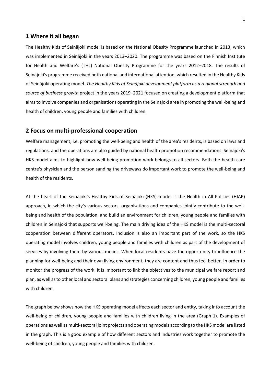# <span id="page-2-0"></span>**1 Where it all began**

The Healthy Kids of Seinäjoki model is based on the National Obesity Programme launched in 2013, which was implemented in Seinäjoki in the years 2013–2020. The programme was based on the Finnish Institute for Health and Welfare's (THL) National Obesity Programme for the years 2012–2018. The results of Seinäjoki's programme received both national and international attention, which resulted in the Healthy Kids of Seinäjoki operating model. *The Healthy Kids of Seinäjoki development platform as a regional strength and source of business growth* project in the years 2019–2021 focused on creating a development platform that aims to involve companies and organisations operating in the Seinäjoki area in promoting the well-being and health of children, young people and families with children.

# <span id="page-2-1"></span>**2 Focus on multi-professional cooperation**

Welfare management, i.e. promoting the well-being and health of the area's residents, is based on laws and regulations, and the operations are also guided by national health promotion recommendations. Seinäjoki's HKS model aims to highlight how well-being promotion work belongs to all sectors. Both the health care centre's physician and the person sanding the driveways do important work to promote the well-being and health of the residents.

At the heart of the Seinäjoki's Healthy Kids of Seinäjoki (HKS) model is the Health in All Policies (HIAP) approach, in which the city's various sectors, organisations and companies jointly contribute to the wellbeing and health of the population, and build an environment for children, young people and families with children in Seinäjoki that supports well-being. The main driving idea of the HKS model is the multi-sectoral cooperation between different operators. Inclusion is also an important part of the work, so the HKS operating model involves children, young people and families with children as part of the development of services by involving them by various means. When local residents have the opportunity to influence the planning for well-being and their own living environment, they are content and thus feel better. In order to monitor the progress of the work, it is important to link the objectives to the municipal welfare report and plan, as well as to other local and sectoral plans and strategies concerning children, young people and families with children.

The graph below shows how the HKS operating model affects each sector and entity, taking into account the well-being of children, young people and families with children living in the area (Graph 1). Examples of operations as well as multi-sectoral joint projects and operating models according to the HKS model are listed in the graph. This is a good example of how different sectors and industries work together to promote the well-being of children, young people and families with children.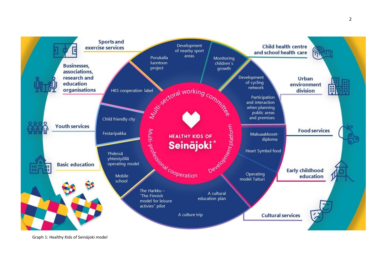

Graph 1: Healthy Kids of Seinäjoki model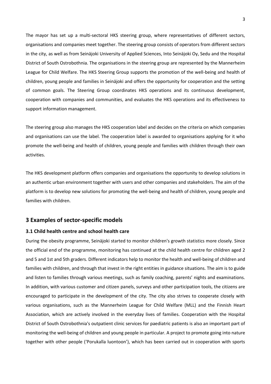The mayor has set up a multi-sectoral HKS steering group, where representatives of different sectors, organisations and companies meet together. The steering group consists of operators from different sectors in the city, as well as from Seinäjoki University of Applied Sciences, Into Seinäjoki Oy, Sedu and the Hospital District of South Ostrobothnia. The organisations in the steering group are represented by the Mannerheim League for Child Welfare. The HKS Steering Group supports the promotion of the well-being and health of children, young people and families in Seinäjoki and offers the opportunity for cooperation and the setting of common goals. The Steering Group coordinates HKS operations and its continuous development, cooperation with companies and communities, and evaluates the HKS operations and its effectiveness to support information management.

The steering group also manages the HKS cooperation label and decides on the criteria on which companies and organisations can use the label. The cooperation label is awarded to organisations applying for it who promote the well-being and health of children, young people and families with children through their own activities.

The HKS development platform offers companies and organisations the opportunity to develop solutions in an authentic urban environment together with users and other companies and stakeholders. The aim of the platform is to develop new solutions for promoting the well-being and health of children, young people and families with children.

# <span id="page-4-0"></span>**3 Examples of sector-specific models**

#### <span id="page-4-1"></span>**3.1 Child health centre and school health care**

During the obesity programme, Seinäjoki started to monitor children's growth statistics more closely. Since the official end of the programme, monitoring has continued at the child health centre for children aged 2 and 5 and 1st and 5th graders. Different indicators help to monitor the health and well-being of children and families with children, and through that invest in the right entities in guidance situations. The aim is to guide and listen to families through various meetings, such as family coaching, parents' nights and examinations. In addition, with various customer and citizen panels, surveys and other participation tools, the citizens are encouraged to participate in the development of the city. The city also strives to cooperate closely with various organisations, such as the Mannerheim League for Child Welfare (MLL) and the Finnish Heart Association, which are actively involved in the everyday lives of families. Cooperation with the Hospital District of South Ostrobothnia's outpatient clinic services for paediatric patients is also an important part of monitoring the well-being of children and young people in particular. A project to promote going into nature together with other people ('Porukalla luontoon'), which has been carried out in cooperation with sports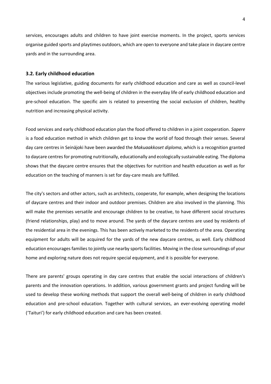services, encourages adults and children to have joint exercise moments. In the project, sports services organise guided sports and playtimes outdoors, which are open to everyone and take place in daycare centre yards and in the surrounding area.

# <span id="page-5-0"></span>**3.2. Early childhood education**

The various legislative, guiding documents for early childhood education and care as well as council-level objectives include promoting the well-being of children in the everyday life of early childhood education and pre-school education. The specific aim is related to preventing the social exclusion of children, healthy nutrition and increasing physical activity.

Food services and early childhood education plan the food offered to children in a joint cooperation. *Sapere* is a food education method in which children get to know the world of food through their senses. Several day care centres in Seinäjoki have been awarded the *Makuaakkoset diploma*, which is a recognition granted to daycare centres for promoting nutritionally, educationally and ecologically sustainable eating. The diploma shows that the daycare centre ensures that the objectives for nutrition and health education as well as for education on the teaching of manners is set for day-care meals are fulfilled.

The city's sectors and other actors, such as architects, cooperate, for example, when designing the locations of daycare centres and their indoor and outdoor premises. Children are also involved in the planning. This will make the premises versatile and encourage children to be creative, to have different social structures (friend relationships, play) and to move around. The yards of the daycare centres are used by residents of the residential area in the evenings. This has been actively marketed to the residents of the area. Operating equipment for adults will be acquired for the yards of the new daycare centres, as well. Early childhood education encourages families to jointly use nearby sports facilities. Moving in the close surroundings of your home and exploring nature does not require special equipment, and it is possible for everyone.

There are parents' groups operating in day care centres that enable the social interactions of children's parents and the innovation operations. In addition, various government grants and project funding will be used to develop these working methods that support the overall well-being of children in early childhood education and pre-school education. Together with cultural services, an ever-evolving operating model ('Taituri') for early childhood education and care has been created.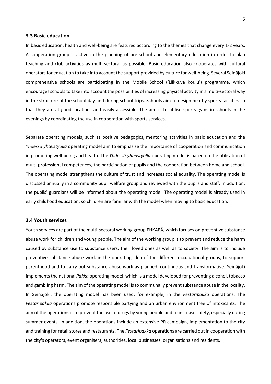#### <span id="page-6-0"></span>**3.3 Basic education**

In basic education, health and well-being are featured according to the themes that change every 1-2 years. A cooperation group is active in the planning of pre-school and elementary education in order to plan teaching and club activities as multi-sectoral as possible. Basic education also cooperates with cultural operators for education to take into account the support provided by culture for well-being. Several Seinäjoki comprehensive schools are participating in the Mobile School ('Liikkuva koulu') programme, which encourages schools to take into account the possibilities of increasing physical activity in a multi-sectoral way in the structure of the school day and during school trips. Schools aim to design nearby sports facilities so that they are at good locations and easily accessible. The aim is to utilise sports gyms in schools in the evenings by coordinating the use in cooperation with sports services.

Separate operating models, such as positive pedagogics, mentoring activities in basic education and the *Yhdessä yhteistyöllä* operating model aim to emphasise the importance of cooperation and communication in promoting well-being and health. The *Yhdessä yhteistyöllä* operating model is based on the utilisation of multi-professional competences, the participation of pupils and the cooperation between home and school. The operating model strengthens the culture of trust and increases social equality. The operating model is discussed annually in a community pupil welfare group and reviewed with the pupils and staff. In addition, the pupils' guardians will be informed about the operating model. The operating model is already used in early childhood education, so children are familiar with the model when moving to basic education.

#### <span id="page-6-1"></span>**3.4 Youth services**

Youth services are part of the multi-sectoral working group EHKÄPÄ, which focuses on preventive substance abuse work for children and young people. The aim of the working group is to prevent and reduce the harm caused by substance use to substance users, their loved ones as well as to society. The aim is to include preventive substance abuse work in the operating idea of the different occupational groups, to support parenthood and to carry out substance abuse work as planned, continuous and transformative. Seinäjoki implements the national *Pakka* operating model, which is a model developed for preventing alcohol, tobacco and gambling harm. The aim of the operating model is to communally prevent substance abuse in the locality. In Seinäjoki, the operating model has been used, for example, in the *Festaripakka* operations. The *Festaripakka* operations promote responsible partying and an urban environment free of intoxicants. The aim of the operations is to prevent the use of drugs by young people and to increase safety, especially during summer events. In addition, the operations include an extensive PR campaign, implementation to the city and training for retail stores and restaurants. The *Festaripakka* operations are carried out in cooperation with the city's operators, event organisers, authorities, local businesses, organisations and residents.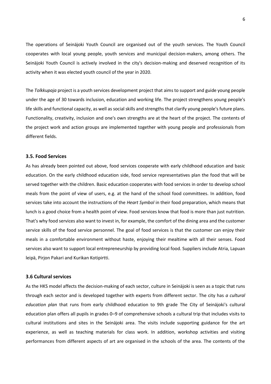The operations of Seinäjoki Youth Council are organised out of the youth services. The Youth Council cooperates with local young people, youth services and municipal decision-makers, among others. The Seinäjoki Youth Council is actively involved in the city's decision-making and deserved recognition of its activity when it was elected youth council of the year in 2020.

The *Tolkkupaja* project is a youth services development project that aims to support and guide young people under the age of 30 towards inclusion, education and working life. The project strengthens young people's life skills and functional capacity, as well as social skills and strengths that clarify young people's future plans. Functionality, creativity, inclusion and one's own strengths are at the heart of the project. The contents of the project work and action groups are implemented together with young people and professionals from different fields.

#### <span id="page-7-0"></span>**3.5. Food Services**

As has already been pointed out above, food services cooperate with early childhood education and basic education. On the early childhood education side, food service representatives plan the food that will be served together with the children. Basic education cooperates with food services in order to develop school meals from the point of view of users, e.g. at the hand of the school food committees. In addition, food services take into account the instructions of the *Heart Symbol* in their food preparation, which means that lunch is a good choice from a health point of view. Food services know that food is more than just nutrition. That's why food services also want to invest in, for example, the comfort of the dining area and the customer service skills of the food service personnel. The goal of food services is that the customer can enjoy their meals in a comfortable environment without haste, enjoying their mealtime with all their senses. Food services also want to support local entrepreneurship by providing local food. Suppliers include Atria, Lapuan leipä, Pirjon Pakari and Kurikan Kotipirtti.

# <span id="page-7-1"></span>**3.6 Cultural services**

As the HKS model affects the decision-making of each sector, culture in Seinäjoki is seen as a topic that runs through each sector and is developed together with experts from different sector. The city has *a cultural education plan* that runs from early childhood education to 9th grade The City of Seinäjoki's cultural education plan offers all pupils in grades 0–9 of comprehensive schools a cultural trip that includes visits to cultural institutions and sites in the Seinäjoki area. The visits include supporting guidance for the art experience, as well as teaching materials for class work. In addition, workshop activities and visiting performances from different aspects of art are organised in the schools of the area. The contents of the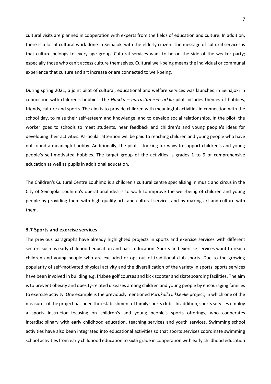cultural visits are planned in cooperation with experts from the fields of education and culture. In addition, there is a lot of cultural work done in Seinäjoki with the elderly citizen. The message of cultural services is that culture belongs to every age group. Cultural services want to be on the side of the weaker party; especially those who can't access culture themselves. Cultural well-being means the individual or communal experience that culture and art increase or are connected to well-being.

During spring 2021, a joint pilot of cultural, educational and welfare services was launched in Seinäjoki in connection with children's hobbies. The *Harkku – harrastamisen arkku* pilot includes themes of hobbies, friends, culture and sports. The aim is to provide children with meaningful activities in connection with the school day, to raise their self-esteem and knowledge, and to develop social relationships. In the pilot, the worker goes to schools to meet students, hear feedback and children's and young people's ideas for developing their activities. Particular attention will be paid to reaching children and young people who have not found a meaningful hobby. Additionally, the pilot is looking for ways to support children's and young people's self-motivated hobbies. The target group of the activities is grades 1 to 9 of comprehensive education as well as pupils in additional education.

The Children's Cultural Centre Louhimo is a children's cultural centre specialising in music and circus in the City of Seinäjoki. Louhimo's operational idea is to work to improve the well-being of children and young people by providing them with high-quality arts and cultural services and by making art and culture with them.

#### <span id="page-8-0"></span>**3.7 Sports and exercise services**

The previous paragraphs have already highlighted projects in sports and exercise services with different sectors such as early childhood education and basic education. Sports and exercise services want to reach children and young people who are excluded or opt out of traditional club sports. Due to the growing popularity of self-motivated physical activity and the diversification of the variety in sports, sports services have been involved in building e.g. frisbee golf courses and kick scooter and skateboarding facilities. The aim is to prevent obesity and obesity-related diseases among children and young people by encouraging families to exercise activity. One example is the previously mentioned *Porukalla liikkeelle* project, in which one of the measures of the project has been the establishment of family sports clubs. In addition, sports services employ a sports instructor focusing on children's and young people's sports offerings, who cooperates interdisciplinary with early childhood education, teaching services and youth services. Swimming school activities have also been integrated into educational activities so that sports services coordinate swimming school activities from early childhood education to sixth grade in cooperation with early childhood education